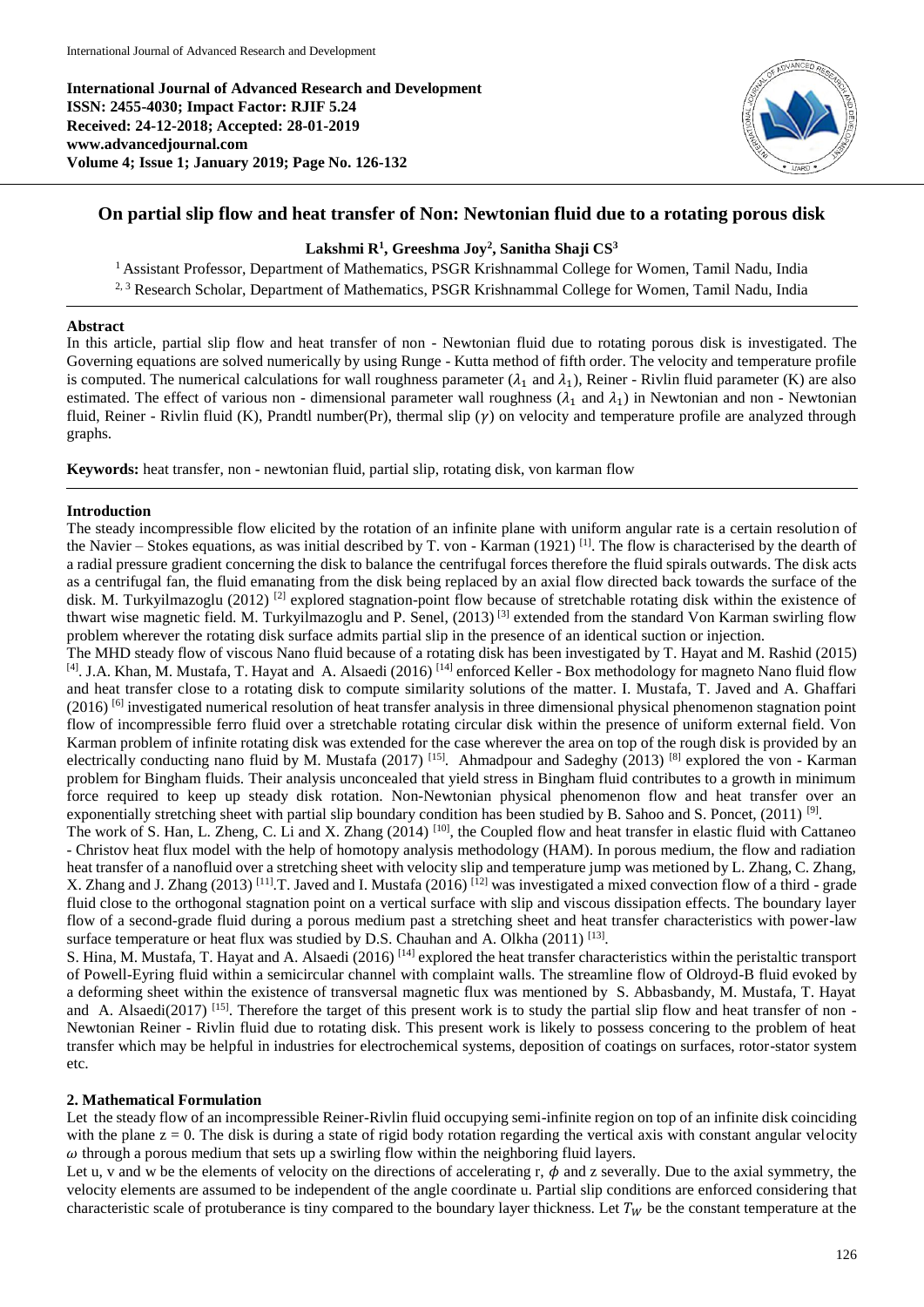**International Journal of Advanced Research and Development ISSN: 2455-4030; Impact Factor: RJIF 5.24 Received: 24-12-2018; Accepted: 28-01-2019 www.advancedjournal.com Volume 4; Issue 1; January 2019; Page No. 126-132**



# **On partial slip flow and heat transfer of Non: Newtonian fluid due to a rotating porous disk**

## **Lakshmi R<sup>1</sup> , Greeshma Joy<sup>2</sup> , Sanitha Shaji CS<sup>3</sup>**

<sup>1</sup> Assistant Professor, Department of Mathematics, PSGR Krishnammal College for Women, Tamil Nadu, India <sup>2, 3</sup> Research Scholar, Department of Mathematics, PSGR Krishnammal College for Women, Tamil Nadu, India

#### **Abstract**

In this article, partial slip flow and heat transfer of non - Newtonian fluid due to rotating porous disk is investigated. The Governing equations are solved numerically by using Runge - Kutta method of fifth order. The velocity and temperature profile is computed. The numerical calculations for wall roughness parameter  $(\lambda_1$  and  $\lambda_1)$ , Reiner - Rivlin fluid parameter (K) are also estimated. The effect of various non - dimensional parameter wall roughness  $(\lambda_1$  and  $\lambda_1)$  in Newtonian and non - Newtonian fluid, Reiner - Rivlin fluid (K), Prandtl number(Pr), thermal slip  $(y)$  on velocity and temperature profile are analyzed through graphs.

**Keywords:** heat transfer, non - newtonian fluid, partial slip, rotating disk, von karman flow

### **Introduction**

The steady incompressible flow elicited by the rotation of an infinite plane with uniform angular rate is a certain resolution of the Navier – Stokes equations, as was initial described by T. von - Karman (1921)<sup>[1]</sup>. The flow is characterised by the dearth of a radial pressure gradient concerning the disk to balance the centrifugal forces therefore the fluid spirals outwards. The disk acts as a centrifugal fan, the fluid emanating from the disk being replaced by an axial flow directed back towards the surface of the disk. M. Turkyilmazoglu (2012)<sup>[2]</sup> explored stagnation-point flow because of stretchable rotating disk within the existence of thwart wise magnetic field. M. Turkyilmazoglu and P. Senel, (2013)<sup>[3]</sup> extended from the standard Von Karman swirling flow problem wherever the rotating disk surface admits partial slip in the presence of an identical suction or injection.

The MHD steady flow of viscous Nano fluid because of a rotating disk has been investigated by T. Hayat and M. Rashid (2015)  $^{[4]}$ . J.A. Khan, M. Mustafa, T. Hayat and A. Alsaedi (2016)  $^{[14]}$  enforced Keller - Box methodology for magneto Nano fluid flow and heat transfer close to a rotating disk to compute similarity solutions of the matter. I. Mustafa, T. Javed and A. Ghaffari  $(2016)$  <sup>[6]</sup> investigated numerical resolution of heat transfer analysis in three dimensional physical phenomenon stagnation point flow of incompressible ferro fluid over a stretchable rotating circular disk within the presence of uniform external field. Von Karman problem of infinite rotating disk was extended for the case wherever the area on top of the rough disk is provided by an electrically conducting nano fluid by M. Mustafa (2017)<sup>[15]</sup>. Ahmadpour and Sadeghy (2013)<sup>[8]</sup> explored the von - Karman problem for Bingham fluids. Their analysis unconcealed that yield stress in Bingham fluid contributes to a growth in minimum force required to keep up steady disk rotation. Non-Newtonian physical phenomenon flow and heat transfer over an exponentially stretching sheet with partial slip boundary condition has been studied by B. Sahoo and S. Poncet,  $(2011)^{9}$ .

The work of S. Han, L. Zheng, C. Li and X. Zhang (2014)<sup>[10]</sup>, the Coupled flow and heat transfer in elastic fluid with Cattaneo - Christov heat flux model with the help of homotopy analysis methodology (HAM). In porous medium, the flow and radiation heat transfer of a nanofluid over a stretching sheet with velocity slip and temperature jump was metioned by L. Zhang, C. Zhang, X. Zhang and J. Zhang (2013) [11].T. Javed and I. Mustafa (2016) [12] was investigated a mixed convection flow of a third - grade fluid close to the orthogonal stagnation point on a vertical surface with slip and viscous dissipation effects. The boundary layer flow of a second-grade fluid during a porous medium past a stretching sheet and heat transfer characteristics with power-law surface temperature or heat flux was studied by D.S. Chauhan and A. Olkha  $(2011)$ <sup>[13]</sup>.

S. Hina, M. Mustafa, T. Hayat and A. Alsaedi (2016)<sup>[14]</sup> explored the heat transfer characteristics within the peristaltic transport of Powell-Eyring fluid within a semicircular channel with complaint walls. The streamline flow of Oldroyd-B fluid evoked by a deforming sheet within the existence of transversal magnetic flux was mentioned by S. Abbasbandy, M. Mustafa, T. Hayat and A. Alsaedi(2017)<sup>[15]</sup>. Therefore the target of this present work is to study the partial slip flow and heat transfer of non -Newtonian Reiner - Rivlin fluid due to rotating disk. This present work is likely to possess concering to the problem of heat transfer which may be helpful in industries for electrochemical systems, deposition of coatings on surfaces, rotor-stator system etc.

### **2. Mathematical Formulation**

Let the steady flow of an incompressible Reiner-Rivlin fluid occupying semi-infinite region on top of an infinite disk coinciding with the plane  $z = 0$ . The disk is during a state of rigid body rotation regarding the vertical axis with constant angular velocity  $\omega$  through a porous medium that sets up a swirling flow within the neighboring fluid layers.

Let u, v and w be the elements of velocity on the directions of accelerating r,  $\phi$  and z severally. Due to the axial symmetry, the velocity elements are assumed to be independent of the angle coordinate u. Partial slip conditions are enforced considering that characteristic scale of protuberance is tiny compared to the boundary layer thickness. Let  $T_W$  be the constant temperature at the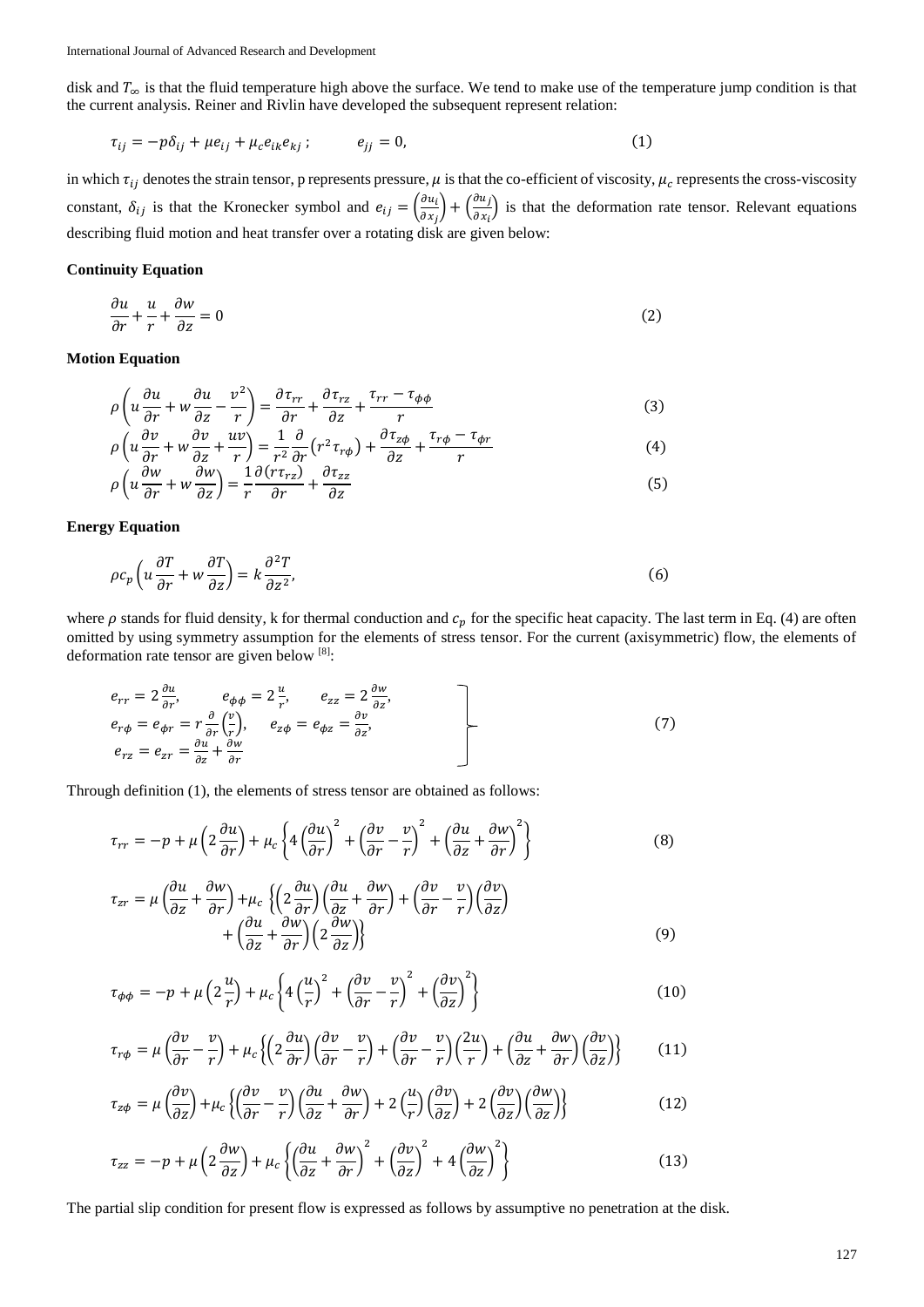disk and  $T_{\infty}$  is that the fluid temperature high above the surface. We tend to make use of the temperature jump condition is that the current analysis. Reiner and Rivlin have developed the subsequent represent relation:

$$
\tau_{ij} = -p\delta_{ij} + \mu e_{ij} + \mu_c e_{ik} e_{kj}; \qquad e_{jj} = 0, \qquad (1)
$$

in which  $\tau_{ij}$  denotes the strain tensor, p represents pressure,  $\mu$  is that the co-efficient of viscosity,  $\mu_c$  represents the cross-viscosity constant,  $\delta_{ij}$  is that the Kronecker symbol and  $e_{ij} = \left(\frac{\partial u_i}{\partial x_i}\right)^2$  $\left(\frac{\partial u_i}{\partial x_j}\right) + \left(\frac{\partial u_j}{\partial x_i}\right)$  $\frac{\partial u}{\partial x_i}$  is that the deformation rate tensor. Relevant equations describing fluid motion and heat transfer over a rotating disk are given below:

#### **Continuity Equation**

$$
\frac{\partial u}{\partial r} + \frac{u}{r} + \frac{\partial w}{\partial z} = 0
$$
\n(2)

## **Motion Equation**

$$
\rho \left( u \frac{\partial u}{\partial r} + w \frac{\partial u}{\partial z} - \frac{v^2}{r} \right) = \frac{\partial \tau_{rr}}{\partial r} + \frac{\partial \tau_{rz}}{\partial z} + \frac{\tau_{rr} - \tau_{\phi\phi}}{r}
$$
\n(3)

$$
\rho \left( u \frac{\partial v}{\partial r} + w \frac{\partial v}{\partial z} + \frac{uv}{r} \right) = \frac{1}{r^2} \frac{\partial}{\partial r} \left( r^2 \tau_{r\phi} \right) + \frac{\partial \tau_{z\phi}}{\partial z} + \frac{\tau_{r\phi} - \tau_{\phi r}}{r}
$$
(4)

$$
\rho \left( u \frac{\partial w}{\partial r} + w \frac{\partial w}{\partial z} \right) = \frac{1}{r} \frac{\partial (r \tau_{rz})}{\partial r} + \frac{\partial \tau_{zz}}{\partial z} \tag{5}
$$

#### **Energy Equation**

$$
\rho c_p \left( u \frac{\partial T}{\partial r} + w \frac{\partial T}{\partial z} \right) = k \frac{\partial^2 T}{\partial z^2},\tag{6}
$$

where  $\rho$  stands for fluid density, k for thermal conduction and  $c_p$  for the specific heat capacity. The last term in Eq. (4) are often omitted by using symmetry assumption for the elements of stress tensor. For the current (axisymmetric) flow, the elements of deformation rate tensor are given below [8]:

$$
e_{rr} = 2 \frac{\partial u}{\partial r}, \qquad e_{\phi\phi} = 2 \frac{u}{r}, \qquad e_{zz} = 2 \frac{\partial w}{\partial z},
$$
  
\n
$$
e_{r\phi} = e_{\phi r} = r \frac{\partial}{\partial r} \left( \frac{v}{r} \right), \qquad e_{z\phi} = e_{\phi z} = \frac{\partial v}{\partial z},
$$
  
\n
$$
e_{rz} = e_{zr} = \frac{\partial u}{\partial z} + \frac{\partial w}{\partial r}
$$
\n(7)

Through definition (1), the elements of stress tensor are obtained as follows:

$$
\tau_{rr} = -p + \mu \left( 2 \frac{\partial u}{\partial r} \right) + \mu_c \left\{ 4 \left( \frac{\partial u}{\partial r} \right)^2 + \left( \frac{\partial v}{\partial r} - \frac{v}{r} \right)^2 + \left( \frac{\partial u}{\partial z} + \frac{\partial w}{\partial r} \right)^2 \right\}
$$
(8)

$$
\tau_{zr} = \mu \left( \frac{\partial u}{\partial z} + \frac{\partial w}{\partial r} \right) + \mu_c \left\{ \left( 2 \frac{\partial u}{\partial r} \right) \left( \frac{\partial u}{\partial z} + \frac{\partial w}{\partial r} \right) + \left( \frac{\partial v}{\partial r} - \frac{v}{r} \right) \left( \frac{\partial v}{\partial z} \right) + \left( \frac{\partial u}{\partial z} + \frac{\partial w}{\partial r} \right) \left( 2 \frac{\partial w}{\partial z} \right) \right\}
$$
(9)

$$
\tau_{\phi\phi} = -p + \mu \left( 2\frac{u}{r} \right) + \mu_c \left\{ 4\left(\frac{u}{r}\right)^2 + \left(\frac{\partial v}{\partial r} - \frac{v}{r}\right)^2 + \left(\frac{\partial v}{\partial z}\right)^2 \right\} \tag{10}
$$

$$
\tau_{r\phi} = \mu \left( \frac{\partial v}{\partial r} - \frac{v}{r} \right) + \mu_c \left\{ \left( 2 \frac{\partial u}{\partial r} \right) \left( \frac{\partial v}{\partial r} - \frac{v}{r} \right) + \left( \frac{\partial v}{\partial r} - \frac{v}{r} \right) \left( \frac{2u}{r} \right) + \left( \frac{\partial u}{\partial z} + \frac{\partial w}{\partial r} \right) \left( \frac{\partial v}{\partial z} \right) \right\} \tag{11}
$$

$$
\tau_{z\phi} = \mu \left(\frac{\partial v}{\partial z}\right) + \mu_c \left\{ \left(\frac{\partial v}{\partial r} - \frac{v}{r}\right) \left(\frac{\partial u}{\partial z} + \frac{\partial w}{\partial r}\right) + 2\left(\frac{u}{r}\right) \left(\frac{\partial v}{\partial z}\right) + 2\left(\frac{\partial v}{\partial z}\right) \left(\frac{\partial w}{\partial z}\right) \right\}
$$
(12)

$$
\tau_{zz} = -p + \mu \left( 2 \frac{\partial w}{\partial z} \right) + \mu_c \left\{ \left( \frac{\partial u}{\partial z} + \frac{\partial w}{\partial r} \right)^2 + \left( \frac{\partial v}{\partial z} \right)^2 + 4 \left( \frac{\partial w}{\partial z} \right)^2 \right\}
$$
(13)

The partial slip condition for present flow is expressed as follows by assumptive no penetration at the disk.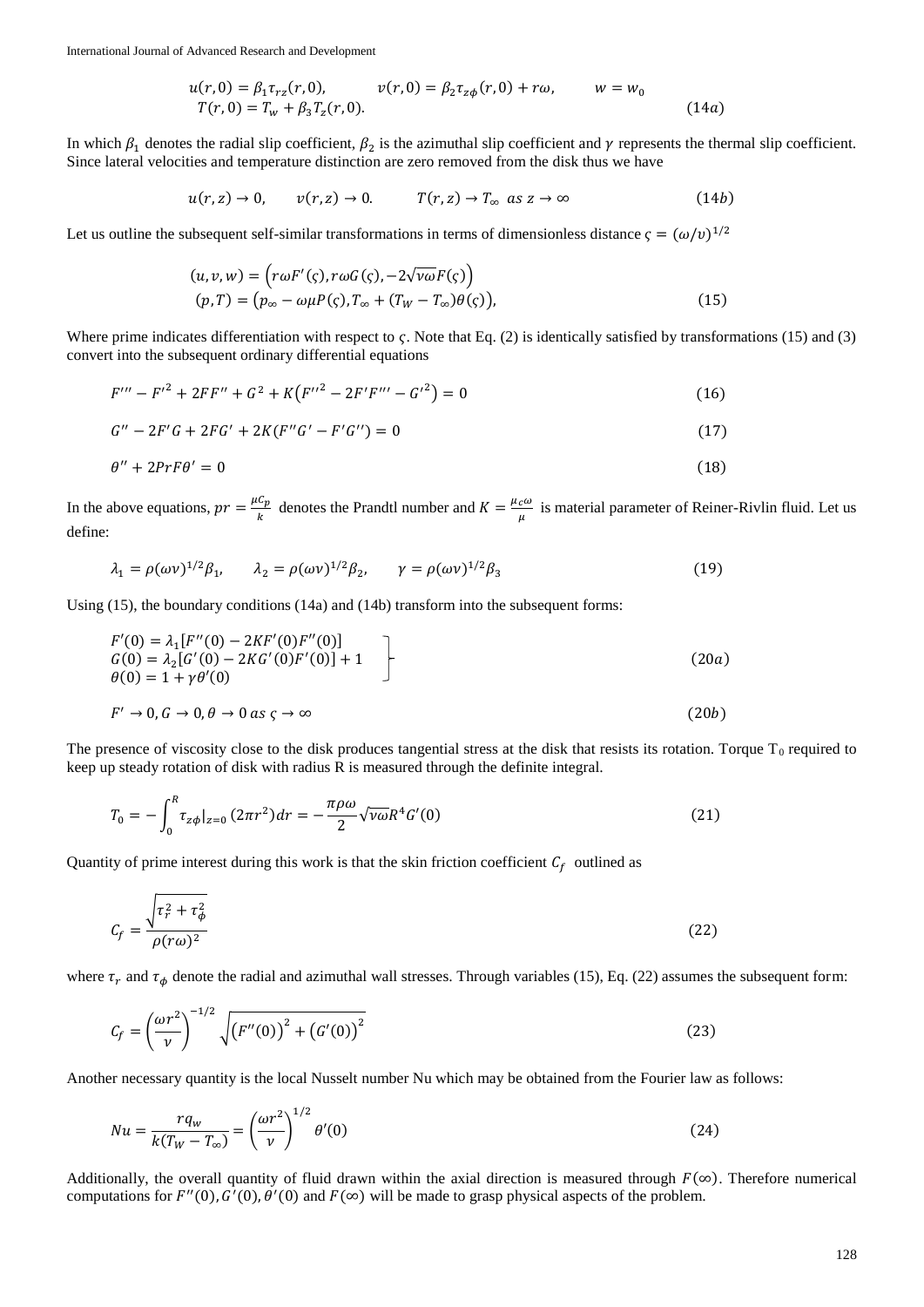International Journal of Advanced Research and Development

$$
u(r, 0) = \beta_1 \tau_{rz}(r, 0), \qquad v(r, 0) = \beta_2 \tau_{z\phi}(r, 0) + r\omega, \qquad w = w_0
$$
  
\n
$$
T(r, 0) = T_w + \beta_3 T_z(r, 0).
$$
\n(14*a*)

In which  $\beta_1$  denotes the radial slip coefficient,  $\beta_2$  is the azimuthal slip coefficient and  $\gamma$  represents the thermal slip coefficient. Since lateral velocities and temperature distinction are zero removed from the disk thus we have

$$
u(r,z) \to 0, \qquad v(r,z) \to 0. \qquad T(r,z) \to T_{\infty} \text{ as } z \to \infty \tag{14b}
$$

Let us outline the subsequent self-similar transformations in terms of dimensionless distance  $\zeta = (\omega/v)^{1/2}$ 

$$
(u, v, w) = (r\omega F'(\varsigma), r\omega G(\varsigma), -2\sqrt{v\omega}F(\varsigma))
$$
  
\n
$$
(p, T) = (p_{\infty} - \omega\mu P(\varsigma), T_{\infty} + (T_W - T_{\infty})\theta(\varsigma)),
$$
\n(15)

Where prime indicates differentiation with respect to  $\varsigma$ . Note that Eq. (2) is identically satisfied by transformations (15) and (3) convert into the subsequent ordinary differential equations

$$
F''' - F'^2 + 2F F'' + G^2 + K(F''^2 - 2F'F''' - G'^2) = 0
$$
\n(16)

$$
G'' - 2F'G + 2FG' + 2K(F''G' - F'G'') = 0
$$
\n(17)

$$
\theta'' + 2PrF\theta' = 0 \tag{18}
$$

In the above equations,  $pr = \frac{\mu C_p}{h}$  $\frac{c_p}{k}$  denotes the Prandtl number and  $K = \frac{\mu_c \omega}{\mu}$  $\frac{c^{\omega}}{\mu}$  is material parameter of Reiner-Rivlin fluid. Let us define:

$$
\lambda_1 = \rho(\omega \nu)^{1/2} \beta_1, \qquad \lambda_2 = \rho(\omega \nu)^{1/2} \beta_2, \qquad \gamma = \rho(\omega \nu)^{1/2} \beta_3 \tag{19}
$$

Using (15), the boundary conditions (14a) and (14b) transform into the subsequent forms:

$$
F'(0) = \lambda_1[F''(0) - 2KF'(0)F''(0)]G(0) = \lambda_2[G'(0) - 2KG'(0)F'(0)] + 1\theta(0) = 1 + \gamma\theta'(0)
$$
\n(20*a*)

$$
F' \to 0, G \to 0, \theta \to 0 \text{ as } \varsigma \to \infty \tag{20b}
$$

The presence of viscosity close to the disk produces tangential stress at the disk that resists its rotation. Torque  $T_0$  required to keep up steady rotation of disk with radius R is measured through the definite integral.

$$
T_0 = -\int_0^R \tau_{z\phi}|_{z=0} (2\pi r^2) dr = -\frac{\pi \rho \omega}{2} \sqrt{\nu \omega} R^4 G'(0)
$$
 (21)

Quantity of prime interest during this work is that the skin friction coefficient  $C_f$  outlined as

$$
C_f = \frac{\sqrt{\tau_r^2 + \tau_\phi^2}}{\rho(r\omega)^2} \tag{22}
$$

where  $\tau_r$  and  $\tau_\phi$  denote the radial and azimuthal wall stresses. Through variables (15), Eq. (22) assumes the subsequent form:

$$
C_f = \left(\frac{\omega r^2}{\nu}\right)^{-1/2} \sqrt{\left(F''(0)\right)^2 + \left(G'(0)\right)^2} \tag{23}
$$

Another necessary quantity is the local Nusselt number Nu which may be obtained from the Fourier law as follows:

$$
Nu = \frac{rq_w}{k(T_W - T_\infty)} = \left(\frac{\omega r^2}{\nu}\right)^{1/2} \theta'(0) \tag{24}
$$

Additionally, the overall quantity of fluid drawn within the axial direction is measured through  $F(\infty)$ . Therefore numerical computations for  $F''(0)$ ,  $G'(0)$ ,  $\theta'(0)$  and  $F(\infty)$  will be made to grasp physical aspects of the problem.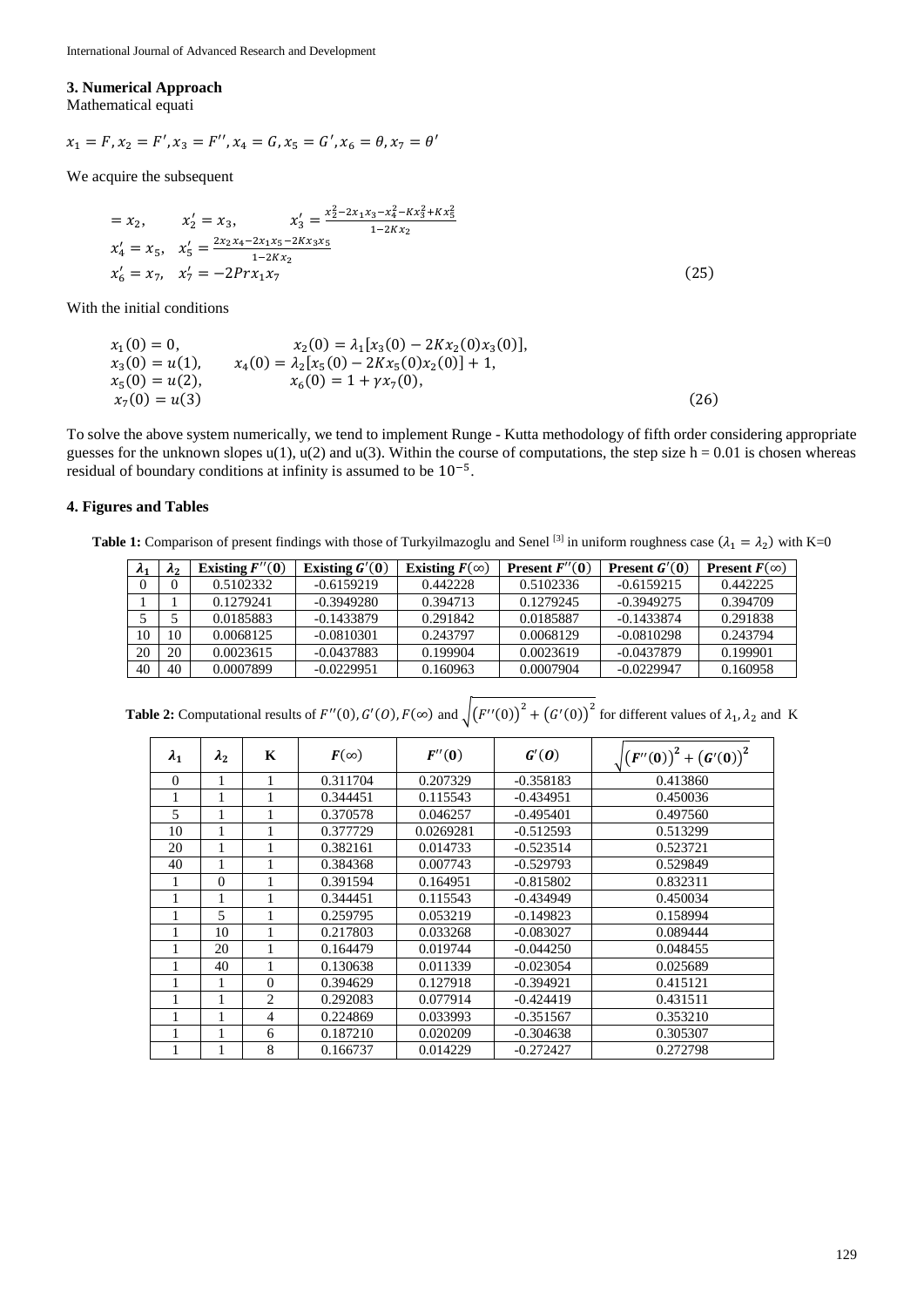International Journal of Advanced Research and Development

#### **3. Numerical Approach**

Mathematical equati

$$
x_1 = F, x_2 = F', x_3 = F'', x_4 = G, x_5 = G', x_6 = \theta, x_7 = \theta'
$$

We acquire the subsequent

$$
= x_2, \t x_2' = x_3, \t x_3' = \frac{x_2^2 - 2x_1x_3 - x_4^2 - Kx_3^2 + Kx_5^2}{1 - 2Kx_2}
$$
  
\n
$$
x_4' = x_5, \t x_5' = \frac{2x_2x_4 - 2x_1x_5 - 2Kx_3x_5}{1 - 2Kx_2}
$$
  
\n
$$
x_6' = x_7, \t x_7' = -2Prx_1x_7
$$
\n(25)

With the initial conditions

$$
x_1(0) = 0,
$$
  
\n
$$
x_2(0) = \lambda_1[x_3(0) - 2Kx_2(0)x_3(0)],
$$
  
\n
$$
x_3(0) = u(1),
$$
  
\n
$$
x_4(0) = \lambda_2[x_5(0) - 2Kx_5(0)x_2(0)] + 1,
$$
  
\n
$$
x_5(0) = u(2),
$$
  
\n
$$
x_6(0) = 1 + \gamma x_7(0),
$$
  
\n
$$
x_7(0) = u(3)
$$
\n(26)

To solve the above system numerically, we tend to implement Runge - Kutta methodology of fifth order considering appropriate guesses for the unknown slopes  $u(1)$ ,  $u(2)$  and  $u(3)$ . Within the course of computations, the step size  $h = 0.01$  is chosen whereas residual of boundary conditions at infinity is assumed to be 10−5 .

### **4. Figures and Tables**

**Table 1:** Comparison of present findings with those of Turkyilmazoglu and Senel <sup>[3]</sup> in uniform roughness case  $(\lambda_1 = \lambda_2)$  with K=0

| $\mathbf{A}$ | n <sub>2</sub> | Existing $F''(0)$ | Existing $G'(0)$ | Existing $F(\infty)$ | <b>Present <math>F''(0)</math></b> | Present $G'(0)$ | <b>Present</b> $F(\infty)$ |
|--------------|----------------|-------------------|------------------|----------------------|------------------------------------|-----------------|----------------------------|
|              | O              | 0.5102332         | $-0.6159219$     | 0.442228             | 0.5102336                          | $-0.6159215$    | 0.442225                   |
|              |                | 0.1279241         | $-0.3949280$     | 0.394713             | 0.1279245                          | $-0.3949275$    | 0.394709                   |
|              |                | 0.0185883         | $-0.1433879$     | 0.291842             | 0.0185887                          | $-0.1433874$    | 0.291838                   |
| 10           | 10             | 0.0068125         | $-0.0810301$     | 0.243797             | 0.0068129                          | $-0.0810298$    | 0.243794                   |
| 20           | 20             | 0.0023615         | $-0.0437883$     | 0.199904             | 0.0023619                          | $-0.0437879$    | 0.199901                   |
| 40           | 40             | 0.0007899         | $-0.0229951$     | 0.160963             | 0.0007904                          | $-0.0229947$    | 0.160958                   |

**Table 2:** Computational results of  $F''(0)$ ,  $G'(0)$ ,  $F(\infty)$  and  $\sqrt{(F''(0))}^2 + (G'(0))^2$  for different values of  $\lambda_1$ ,  $\lambda_2$  and K

| $\lambda_1$ | $\lambda_2$  | K              | $F(\infty)$ | F''(0)    | G'(0)       | $\sqrt{(F''(0))}^2 + (G'(0))^2$ |
|-------------|--------------|----------------|-------------|-----------|-------------|---------------------------------|
| $\Omega$    | 1            | 1              | 0.311704    | 0.207329  | $-0.358183$ | 0.413860                        |
| 1           | 1            | 1              | 0.344451    | 0.115543  | $-0.434951$ | 0.450036                        |
| 5           | 1            | 1              | 0.370578    | 0.046257  | $-0.495401$ | 0.497560                        |
| 10          | 1            | 1              | 0.377729    | 0.0269281 | $-0.512593$ | 0.513299                        |
| 20          | $\mathbf{1}$ | 1              | 0.382161    | 0.014733  | $-0.523514$ | 0.523721                        |
| 40          | 1            | 1              | 0.384368    | 0.007743  | $-0.529793$ | 0.529849                        |
| 1           | $\theta$     | 1              | 0.391594    | 0.164951  | $-0.815802$ | 0.832311                        |
|             | 1            |                | 0.344451    | 0.115543  | $-0.434949$ | 0.450034                        |
|             | 5            |                | 0.259795    | 0.053219  | $-0.149823$ | 0.158994                        |
|             | 10           |                | 0.217803    | 0.033268  | $-0.083027$ | 0.089444                        |
|             | 20           |                | 0.164479    | 0.019744  | $-0.044250$ | 0.048455                        |
| 1           | 40           | 1              | 0.130638    | 0.011339  | $-0.023054$ | 0.025689                        |
|             | 1            | $\theta$       | 0.394629    | 0.127918  | $-0.394921$ | 0.415121                        |
|             | 1            | $\overline{2}$ | 0.292083    | 0.077914  | $-0.424419$ | 0.431511                        |
|             | 1            | $\overline{4}$ | 0.224869    | 0.033993  | $-0.351567$ | 0.353210                        |
|             | 1            | 6              | 0.187210    | 0.020209  | $-0.304638$ | 0.305307                        |
|             | 1            | 8              | 0.166737    | 0.014229  | $-0.272427$ | 0.272798                        |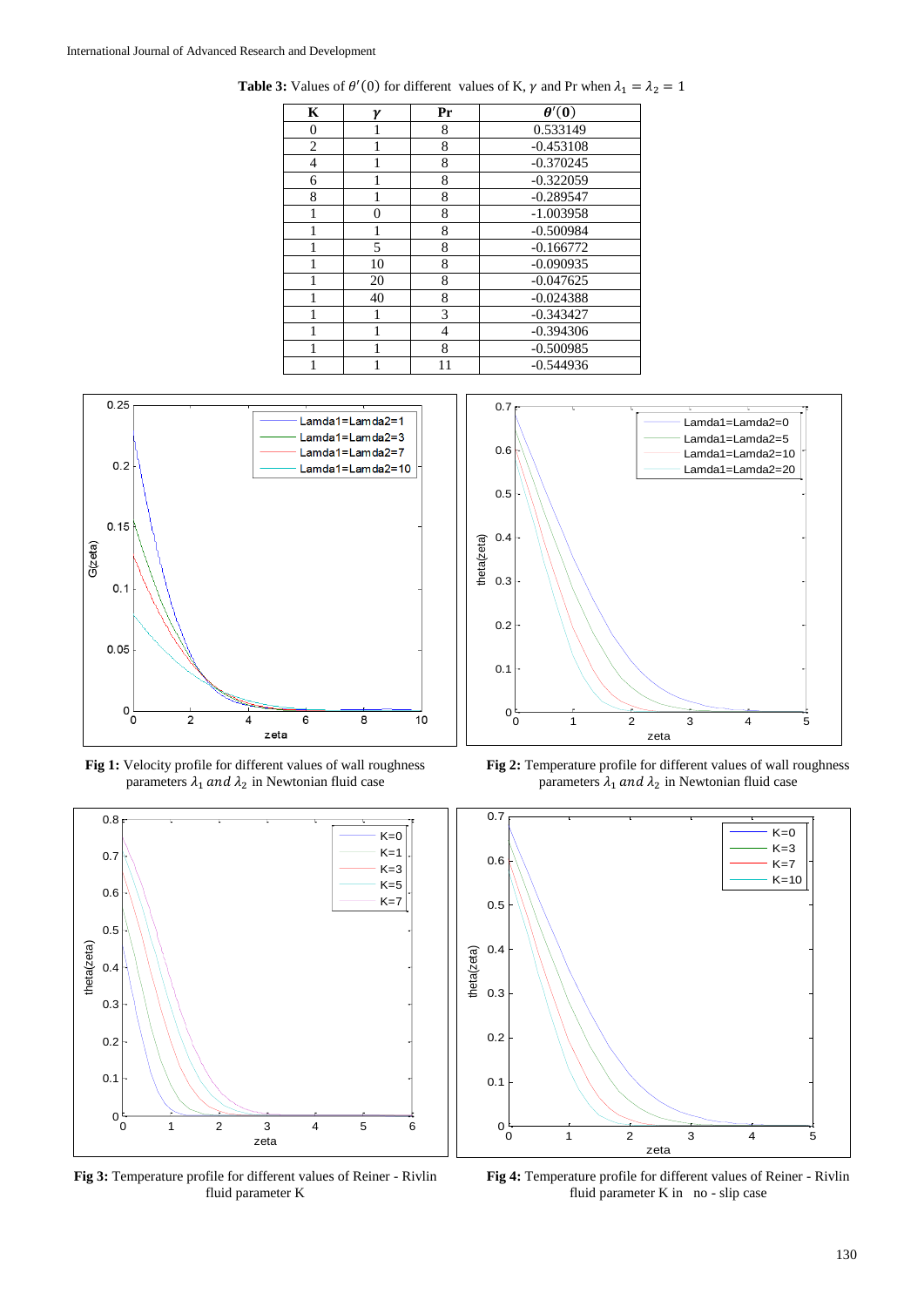| K              | ν  | Pr             | $\theta'(0)$ |
|----------------|----|----------------|--------------|
| $\overline{0}$ |    | 8              | 0.533149     |
| $\overline{c}$ |    | 8              | $-0.453108$  |
| 4              |    | 8              | $-0.370245$  |
| 6              |    | 8              | $-0.322059$  |
| 8              |    | 8              | $-0.289547$  |
|                | 0  | 8              | $-1.003958$  |
|                |    | 8              | $-0.500984$  |
|                | 5  | 8              | $-0.166772$  |
|                | 10 | 8              | $-0.090935$  |
|                | 20 | 8              | $-0.047625$  |
|                | 40 | 8              | $-0.024388$  |
|                |    | 3              | $-0.343427$  |
|                |    | $\overline{4}$ | $-0.394306$  |
|                |    | 8              | $-0.500985$  |
|                |    | 11             | $-0.544936$  |

**Table 3:** Values of  $\theta'(0)$  for different values of K,  $\gamma$  and Pr when  $\lambda_1 = \lambda_2 = 1$ 



**Fig 1:** Velocity profile for different values of wall roughness parameters  $\lambda_1$  and  $\lambda_2$  in Newtonian fluid case



**Fig 3:** Temperature profile for different values of Reiner - Rivlin fluid parameter K



**Fig 2:** Temperature profile for different values of wall roughness parameters  $\lambda_1$  and  $\lambda_2$  in Newtonian fluid case



**Fig 4:** Temperature profile for different values of Reiner - Rivlin fluid parameter K in no - slip case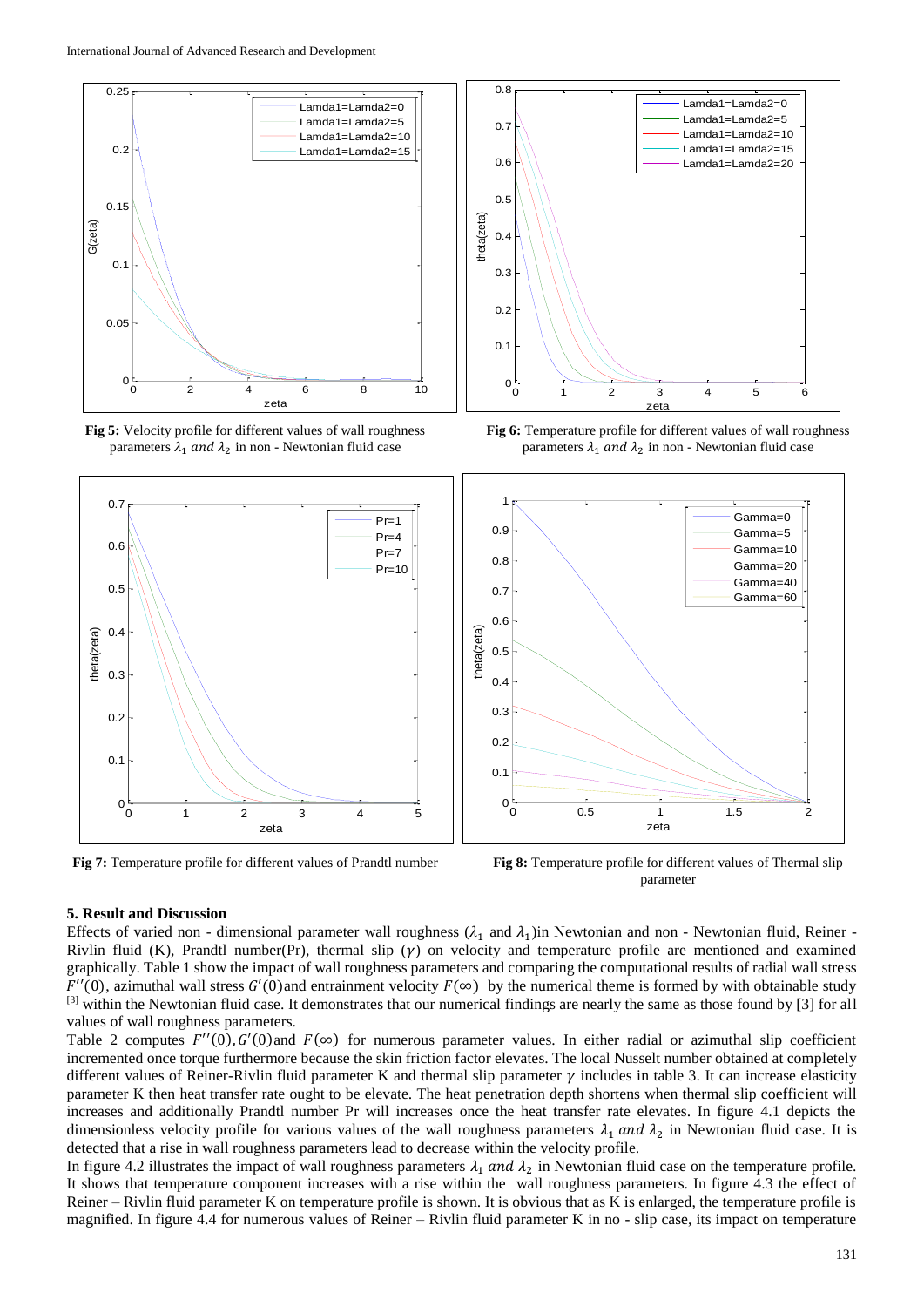





**Fig 7:** Temperature profile for different values of Prandtl number **Fig 8:** Temperature profile for different values of Thermal slip



**Fig 6:** Temperature profile for different values of wall roughness parameters  $\lambda_1$  and  $\lambda_2$  in non - Newtonian fluid case



parameter

### **5. Result and Discussion**

Effects of varied non - dimensional parameter wall roughness  $(\lambda_1$  and  $\lambda_1$ ) in Newtonian and non - Newtonian fluid, Reiner -Rivlin fluid (K), Prandtl number(Pr), thermal slip ( $\gamma$ ) on velocity and temperature profile are mentioned and examined graphically. Table 1 show the impact of wall roughness parameters and comparing the computational results of radial wall stress  $F''(0)$ , azimuthal wall stress  $G'(0)$  and entrainment velocity  $F(\infty)$  by the numerical theme is formed by with obtainable study [3] within the Newtonian fluid case. It demonstrates that our numerical findings are nearly the same as those found by [3] for all values of wall roughness parameters.

Table 2 computes  $F''(0)$ ,  $G'(0)$  and  $F(\infty)$  for numerous parameter values. In either radial or azimuthal slip coefficient incremented once torque furthermore because the skin friction factor elevates. The local Nusselt number obtained at completely different values of Reiner-Rivlin fluid parameter K and thermal slip parameter  $\gamma$  includes in table 3. It can increase elasticity parameter K then heat transfer rate ought to be elevate. The heat penetration depth shortens when thermal slip coefficient will increases and additionally Prandtl number Pr will increases once the heat transfer rate elevates. In figure 4.1 depicts the dimensionless velocity profile for various values of the wall roughness parameters  $\lambda_1$  and  $\lambda_2$  in Newtonian fluid case. It is detected that a rise in wall roughness parameters lead to decrease within the velocity profile.

In figure 4.2 illustrates the impact of wall roughness parameters  $\lambda_1$  and  $\lambda_2$  in Newtonian fluid case on the temperature profile. It shows that temperature component increases with a rise within the wall roughness parameters. In figure 4.3 the effect of Reiner – Rivlin fluid parameter K on temperature profile is shown. It is obvious that as K is enlarged, the temperature profile is magnified. In figure 4.4 for numerous values of Reiner – Rivlin fluid parameter K in no - slip case, its impact on temperature